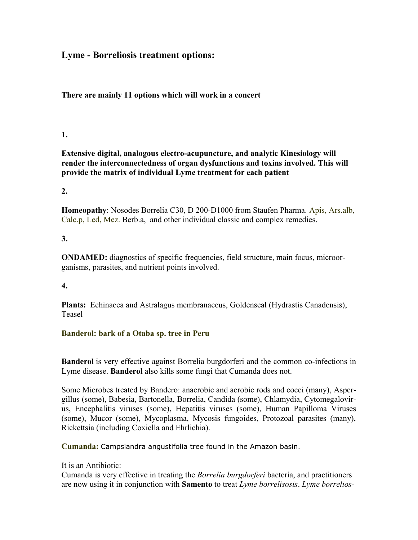# **Lyme - Borreliosis treatment options:**

### **There are mainly 11 options which will work in a concert**

# **1.**

**Extensive digital, analogous electro-acupuncture, and analytic Kinesiology will render the interconnectedness of organ dysfunctions and toxins involved. This will provide the matrix of individual Lyme treatment for each patient**

### **2.**

**Homeopathy**: Nosodes Borrelia C30, D 200-D1000 from Staufen Pharma. [Apis,](file:///C:%5CDocuments%20and%20Settings%5CDieter%5CMy%20Documents%5Ctestbuchengl.doc#_APIS_MELLIFICA%23_APIS_MELLIFICA) [Ars.alb,](file:///C:%5CDocuments%20and%20Settings%5CDieter%5CMy%20Documents%5Ctestbuchengl.doc#_ARSENICUM_ALBUM%23_ARSENICUM_ALBUM) [Calc.p,](file:///C:%5CDocuments%20and%20Settings%5CDieter%5CMy%20Documents%5Ctestbuchengl.doc#_CALCIUM_SULFURIKUM%23_CALCIUM_SULFURIKUM) [Led,](file:///C:%5CDocuments%20and%20Settings%5CDieter%5CMy%20Documents%5Ctestbuchengl.doc#_LEDUM_PALUSTRE%23_LEDUM_PALUSTRE) [Mez.](file:///C:%5CDocuments%20and%20Settings%5CDieter%5CMy%20Documents%5Ctestbuchengl.doc#_MEZEREUM%23_MEZEREUM) Berb.a, and other individual classic and complex remedies.

# **3.**

**ONDAMED:** diagnostics of specific frequencies, field structure, main focus, microorganisms, parasites, and nutrient points involved.

# **4.**

**Plants:** Echinacea and Astralagus membranaceus, Goldenseal (Hydrastis Canadensis), Teasel

### **Banderol: bark of a Otaba sp. tree in Peru**

**Banderol** is very effective against Borrelia burgdorferi and the common co-infections in Lyme disease. **Banderol** also kills some fungi that Cumanda does not.

Some Microbes treated by Bandero: anaerobic and aerobic rods and cocci (many), Aspergillus (some), Babesia, Bartonella, Borrelia, Candida (some), Chlamydia, Cytomegalovirus, Encephalitis viruses (some), Hepatitis viruses (some), Human Papilloma Viruses (some), Mucor (some), Mycoplasma, Mycosis fungoides, Protozoal parasites (many), Rickettsia (including Coxiella and Ehrlichia).

**Cumanda:** Campsiandra angustifolia tree found in the Amazon basin.

### It is an Antibiotic:

Cumanda is very effective in treating the *Borrelia burgdorferi* bacteria, and practitioners are now using it in conjunction with **Samento** to treat *Lyme borrelisosis*. *Lyme borrelios-*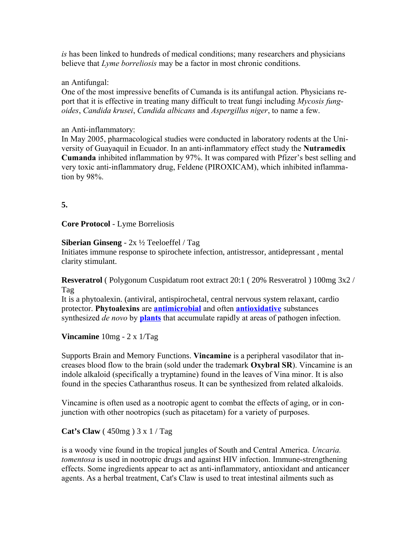*is* has been linked to hundreds of medical conditions; many researchers and physicians believe that *Lyme borreliosis* may be a factor in most chronic conditions.

#### an Antifungal:

One of the most impressive benefits of Cumanda is its antifungal action. Physicians report that it is effective in treating many difficult to treat fungi including *Mycosis fungoides*, *Candida krusei*, *Candida albicans* and *Aspergillus niger*, to name a few.

#### an Anti-inflammatory:

In May 2005, pharmacological studies were conducted in laboratory rodents at the University of Guayaquil in Ecuador. In an anti-inflammatory effect study the **Nutramedix Cumanda** inhibited inflammation by 97%. It was compared with Pfizer's best selling and very toxic anti-inflammatory drug, Feldene (PIROXICAM), which inhibited inflammation by 98%.

### **5.**

**Core Protocol** - Lyme Borreliosis

#### **Siberian Ginseng** - 2x ½ Teeloeffel / Tag

Initiates immune response to spirochete infection, antistressor, antidepressant , mental clarity stimulant.

**Resveratrol** ( Polygonum Cuspidatum root extract 20:1 ( 20% Resveratrol ) 100mg 3x2 / Tag

It is a phytoalexin. (antiviral, antispirochetal, central nervous system relaxant, cardio protector. **Phytoalexins** are **[antimicrobial](http://en.wikipedia.org/wiki/Antimicrobial)** and often **[antioxidative](http://en.wikipedia.org/wiki/Antioxidative)** substances synthesized *de novo* by **[plants](http://en.wikipedia.org/wiki/Plant)** that accumulate rapidly at areas of pathogen infection.

**Vincamine** 10mg - 2 x 1/Tag

Supports Brain and Memory Functions. **Vincamine** is a peripheral vasodilator that increases blood flow to the brain (sold under the trademark **Oxybral SR**). Vincamine is an indole alkaloid (specifically a tryptamine) found in the leaves of Vina minor. It is also found in the species Catharanthus roseus. It can be synthesized from related alkaloids.

Vincamine is often used as a nootropic agent to combat the effects of aging, or in conjunction with other nootropics (such as pitacetam) for a variety of purposes.

**Cat's Claw** ( 450mg ) 3 x 1 / Tag

is a woody vine found in the tropical jungles of South and Central America. *Uncaria. tomentosa* is used in nootropic drugs and against HIV infection. Immune-strengthening effects. Some ingredients appear to act as anti-inflammatory, antioxidant and anticancer agents. As a herbal treatment, Cat's Claw is used to treat intestinal ailments such as